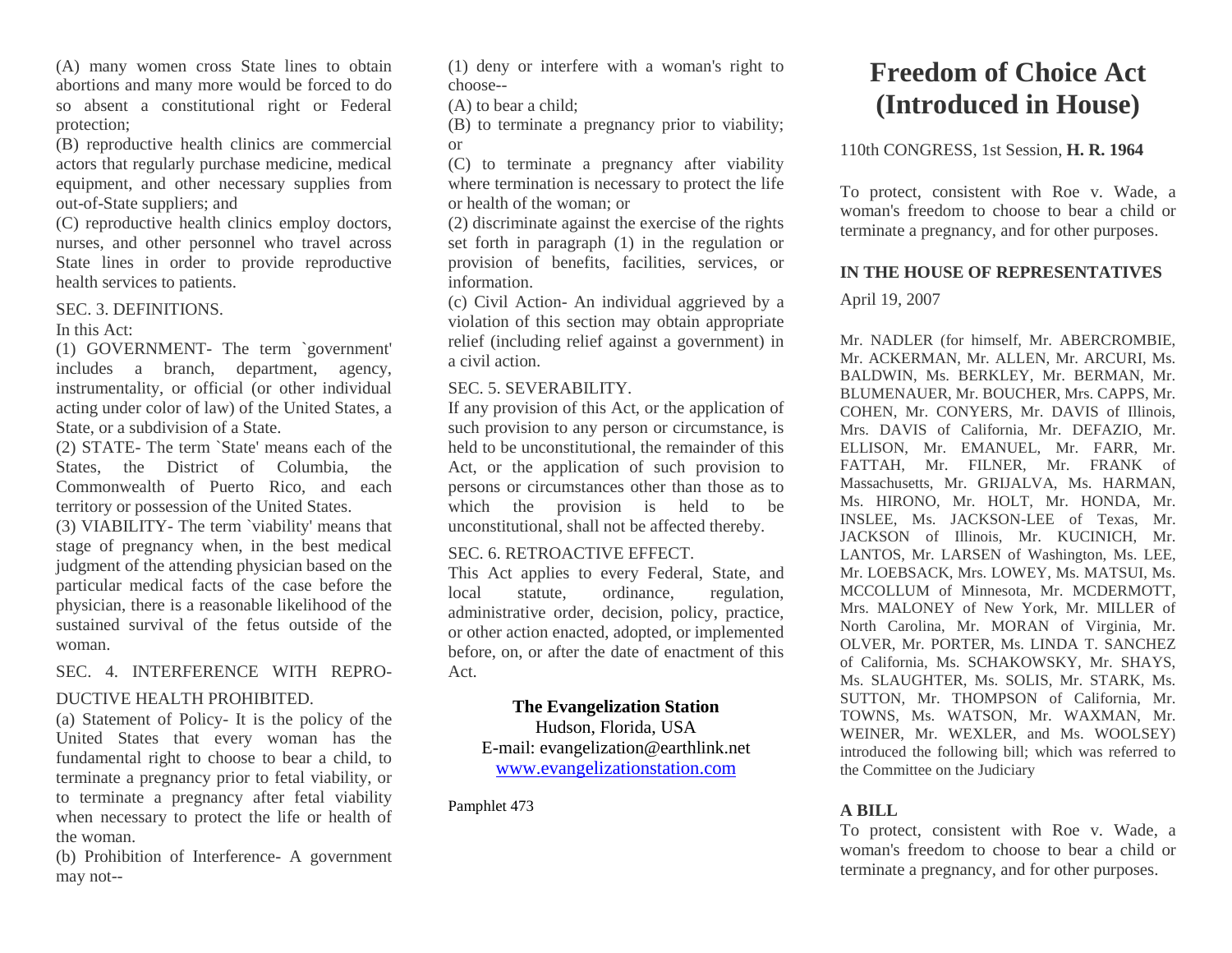(A) many women cross State lines to obtain abortions and many more would be forced to do so absent a constitutional right or Federal protection;

(B) reproductive health clinics are commercial actors that regularly purchase medicine, medical equipment, and other necessary supplies from out-of-State suppliers; and

(C) reproductive health clinics employ doctors, nurses, and other personnel who travel across State lines in order to provide reproductive health services to patients.

#### SEC. 3. DEFINITIONS.

In this Act:

(1) GOVERNMENT- The term `government' includes a branch, department, agency, instrumentality, or official (or other individual acting under color of law) of the United States, a State, or a subdivision of a State.

(2) STATE- The term `State' means each of the States, the District of Columbia, the Commonwealth of Puerto Rico, and each territory or possession of the United States.

(3) VIABILITY- The term `viability' means that stage of pregnancy when, in the best medical judgment of the attending physician based on the particular medical facts of the case before the physician, there is a reasonable likelihood of the sustained survival of the fetus outside of the woman.

SEC. 4. INTERFERENCE WITH REPRO-

# DUCTIVE HEALTH PROHIBITED.

(a) Statement of Policy- It is the policy of the United States that every woman has the fundamental right to choose to bear a child, to terminate a pregnancy prior to fetal viability, or to terminate a pregnancy after fetal viability when necessary to protect the life or health of the woman.

(b) Prohibition of Interference- A government may not--

(1) deny or interfere with a woman's right to choose--

(A) to bear a child;

(B) to terminate a pregnancy prior to viability; or

(C) to terminate a pregnancy after viability where termination is necessary to protect the life or health of the woman; or

(2) discriminate against the exercise of the rights set forth in paragraph (1) in the regulation or provision of benefits, facilities, services, or information.

(c) Civil Action- An individual aggrieved by a violation of this section may obtain appropriate relief (including relief against a government) in a civil action.

#### SEC. 5. SEVERABILITY.

If any provision of this Act, or the application of such provision to any person or circumstance, is held to be unconstitutional, the remainder of this Act, or the application of such provision to persons or circumstances other than those as to which the provision is held to be unconstitutional, shall not be affected thereby.

#### SEC. 6. RETROACTIVE EFFECT.

This Act applies to every Federal, State, and local statute, ordinance, regulation, administrative order, decision, policy, practice, or other action enacted, adopted, or implemented before, on, or after the date of enactment of this Act.

## **The Evangelization Station**

Hudson, Florida, USA E-mail: evangelization@earthlink.net [www.evangelizationstation.com](http://www.pjpiisoe.org/)

Pamphlet 473

# **Freedom of Choice Act (Introduced in House)**

## 110th CONGRESS, 1st Session, **H. R. 1964**

To protect, consistent with Roe v. Wade, a woman's freedom to choose to bear a child or terminate a pregnancy, and for other purposes.

## **IN THE HOUSE OF REPRESENTATIVES**

## April 19, 2007

Mr. NADLER (for himself, Mr. ABERCROMBIE, Mr. ACKERMAN, Mr. ALLEN, Mr. ARCURI, Ms. BALDWIN, Ms. BERKLEY, Mr. BERMAN, Mr. BLUMENAUER, Mr. BOUCHER, Mrs. CAPPS, Mr. COHEN, Mr. CONYERS, Mr. DAVIS of Illinois, Mrs. DAVIS of California, Mr. DEFAZIO, Mr. ELLISON, Mr. EMANUEL, Mr. FARR, Mr. FATTAH, Mr. FILNER, Mr. FRANK of Massachusetts, Mr. GRIJALVA, Ms. HARMAN, Ms. HIRONO, Mr. HOLT, Mr. HONDA, Mr. INSLEE, Ms. JACKSON-LEE of Texas, Mr. JACKSON of Illinois, Mr. KUCINICH, Mr. LANTOS, Mr. LARSEN of Washington, Ms. LEE, Mr. LOEBSACK, Mrs. LOWEY, Ms. MATSUI, Ms. MCCOLLUM of Minnesota, Mr. MCDERMOTT, Mrs. MALONEY of New York, Mr. MILLER of North Carolina, Mr. MORAN of Virginia, Mr. OLVER, Mr. PORTER, Ms. LINDA T. SANCHEZ of California, Ms. SCHAKOWSKY, Mr. SHAYS, Ms. SLAUGHTER, Ms. SOLIS, Mr. STARK, Ms. SUTTON, Mr. THOMPSON of California, Mr. TOWNS, Ms. WATSON, Mr. WAXMAN, Mr. WEINER, Mr. WEXLER, and Ms. WOOLSEY) introduced the following bill; which was referred to the Committee on the Judiciary

# **A BILL**

To protect, consistent with Roe v. Wade, a woman's freedom to choose to bear a child or terminate a pregnancy, and for other purposes.